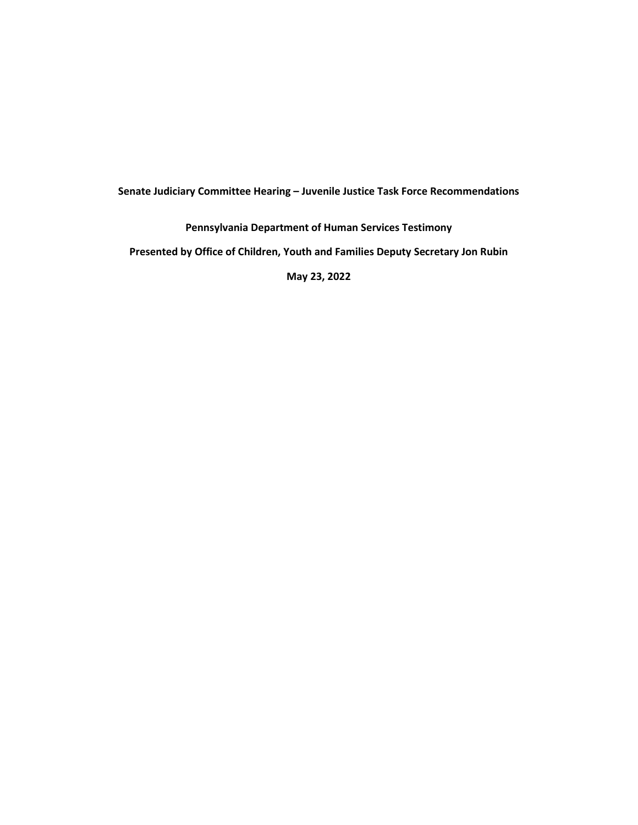## **Senate Judiciary Committee Hearing – Juvenile Justice Task Force Recommendations**

## **Pennsylvania Department of Human Services Testimony**

**Presented by Office of Children, Youth and Families Deputy Secretary Jon Rubin**

**May 23, 2022**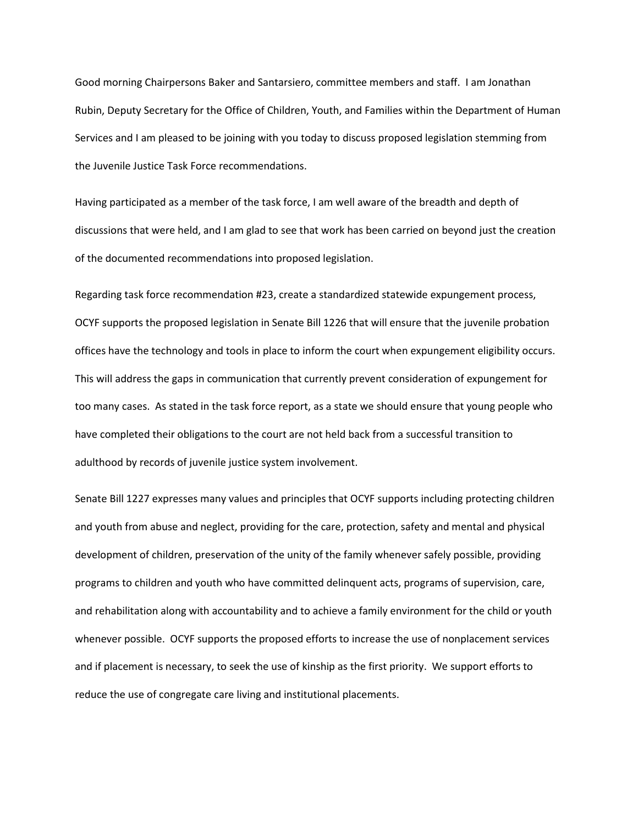Good morning Chairpersons Baker and Santarsiero, committee members and staff. I am Jonathan Rubin, Deputy Secretary for the Office of Children, Youth, and Families within the Department of Human Services and I am pleased to be joining with you today to discuss proposed legislation stemming from the Juvenile Justice Task Force recommendations.

Having participated as a member of the task force, I am well aware of the breadth and depth of discussions that were held, and I am glad to see that work has been carried on beyond just the creation of the documented recommendations into proposed legislation.

Regarding task force recommendation #23, create a standardized statewide expungement process, OCYF supports the proposed legislation in Senate Bill 1226 that will ensure that the juvenile probation offices have the technology and tools in place to inform the court when expungement eligibility occurs. This will address the gaps in communication that currently prevent consideration of expungement for too many cases. As stated in the task force report, as a state we should ensure that young people who have completed their obligations to the court are not held back from a successful transition to adulthood by records of juvenile justice system involvement.

Senate Bill 1227 expresses many values and principles that OCYF supports including protecting children and youth from abuse and neglect, providing for the care, protection, safety and mental and physical development of children, preservation of the unity of the family whenever safely possible, providing programs to children and youth who have committed delinquent acts, programs of supervision, care, and rehabilitation along with accountability and to achieve a family environment for the child or youth whenever possible. OCYF supports the proposed efforts to increase the use of nonplacement services and if placement is necessary, to seek the use of kinship as the first priority. We support efforts to reduce the use of congregate care living and institutional placements.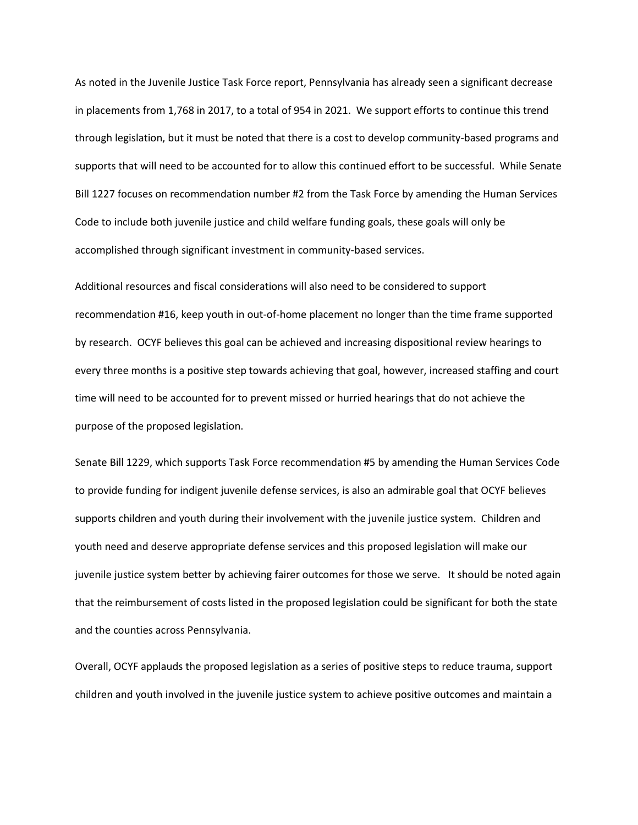As noted in the Juvenile Justice Task Force report, Pennsylvania has already seen a significant decrease in placements from 1,768 in 2017, to a total of 954 in 2021. We support efforts to continue this trend through legislation, but it must be noted that there is a cost to develop community-based programs and supports that will need to be accounted for to allow this continued effort to be successful. While Senate Bill 1227 focuses on recommendation number #2 from the Task Force by amending the Human Services Code to include both juvenile justice and child welfare funding goals, these goals will only be accomplished through significant investment in community-based services.

Additional resources and fiscal considerations will also need to be considered to support recommendation #16, keep youth in out-of-home placement no longer than the time frame supported by research. OCYF believes this goal can be achieved and increasing dispositional review hearings to every three months is a positive step towards achieving that goal, however, increased staffing and court time will need to be accounted for to prevent missed or hurried hearings that do not achieve the purpose of the proposed legislation.

Senate Bill 1229, which supports Task Force recommendation #5 by amending the Human Services Code to provide funding for indigent juvenile defense services, is also an admirable goal that OCYF believes supports children and youth during their involvement with the juvenile justice system. Children and youth need and deserve appropriate defense services and this proposed legislation will make our juvenile justice system better by achieving fairer outcomes for those we serve. It should be noted again that the reimbursement of costs listed in the proposed legislation could be significant for both the state and the counties across Pennsylvania.

Overall, OCYF applauds the proposed legislation as a series of positive steps to reduce trauma, support children and youth involved in the juvenile justice system to achieve positive outcomes and maintain a